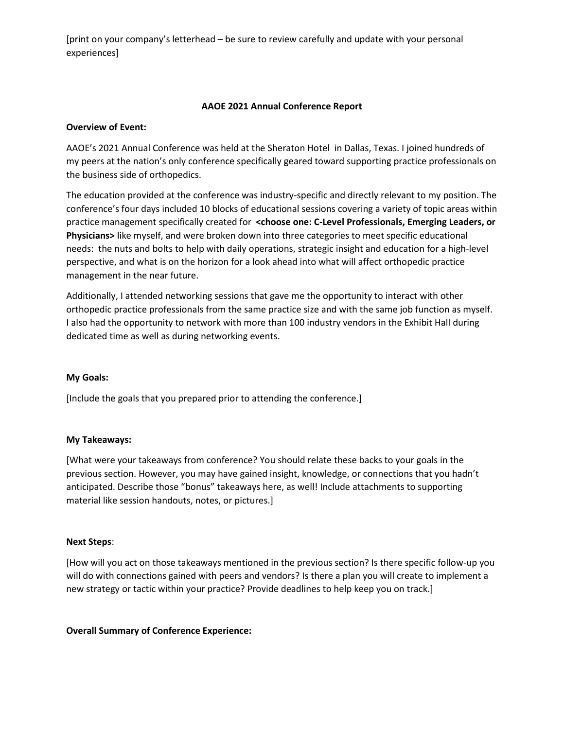[print on your company's letterhead – be sure to review carefully and update with your personal experiences]

# **AAOE 2021 Annual Conference Report**

## **Overview of Event:**

AAOE's 2021 Annual Conference was held at the Sheraton Hotel in Dallas, Texas. I joined hundreds of my peers at the nation's only conference specifically geared toward supporting practice professionals on the business side of orthopedics.

The education provided at the conference was industry-specific and directly relevant to my position. The conference's four days included 10 blocks of educational sessions covering a variety of topic areas within practice management specifically created for **<choose one: C-Level Professionals, Emerging Leaders, or Physicians>** like myself, and were broken down into three categories to meet specific educational needs: the nuts and bolts to help with daily operations, strategic insight and education for a high-level perspective, and what is on the horizon for a look ahead into what will affect orthopedic practice management in the near future.

Additionally, I attended networking sessions that gave me the opportunity to interact with other orthopedic practice professionals from the same practice size and with the same job function as myself. I also had the opportunity to network with more than 100 industry vendors in the Exhibit Hall during dedicated time as well as during networking events.

## **My Goals:**

[Include the goals that you prepared prior to attending the conference.]

#### **My Takeaways:**

[What were your takeaways from conference? You should relate these backs to your goals in the previous section. However, you may have gained insight, knowledge, or connections that you hadn't anticipated. Describe those "bonus" takeaways here, as well! Include attachments to supporting material like session handouts, notes, or pictures.]

#### **Next Steps**:

[How will you act on those takeaways mentioned in the previous section? Is there specific follow-up you will do with connections gained with peers and vendors? Is there a plan you will create to implement a new strategy or tactic within your practice? Provide deadlines to help keep you on track.]

#### **Overall Summary of Conference Experience:**